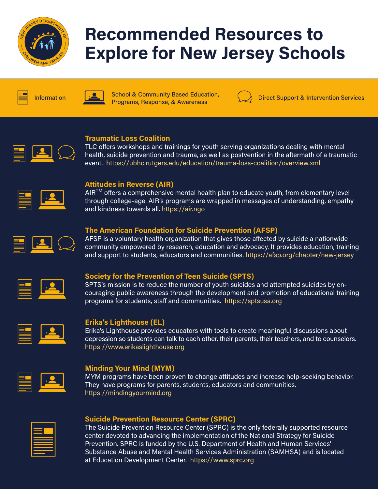

# Recommended Resources to Explore for New Jersey Schools



School & Community Based Education, Information **Programs, Response, & Awareness** Information Direct Support & Intervention Services



# Traumatic Loss Coalition

TLC offers workshops and trainings for youth serving organizations dealing with mental health, suicide prevention and trauma, as well as postvention in the aftermath of a traumatic event. https://ubhc.rutgers.edu/education/trauma-loss-coalition/overview.xml



# Attitudes in Reverse (AIR)

AIR<sup>™</sup> offers a comprehensive mental health plan to educate youth, from elementary level through college-age. AIR's programs are wrapped in messages of understanding, empathy and kindness towards all. https://air.ngo

# The American Foundation for Suicide Prevention (AFSP)

AFSP is a voluntary health organization that gives those affected by suicide a nationwide community empowered by research, education and advocacy. It provides education, training and support to students, educators and communities. https://afsp.org/chapter/new-jersey



# Society for the Prevention of Teen Suicide (SPTS)

SPTS's mission is to reduce the number of youth suicides and attempted suicides by encouraging public awareness through the development and promotion of educational training programs for students, staff and communities. https://sptsusa.org



# Erika's Lighthouse (EL)

Erika's Lighthouse provides educators with tools to create meaningful discussions about depression so students can talk to each other, their parents, their teachers, and to counselors. https://www.erikaslighthouse.org



# Minding Your Mind (MYM)

MYM programs have been proven to change attitudes and increase help-seeking behavior. They have programs for parents, students, educators and communities. https://mindingyourmind.org

| __<br>___         |  |
|-------------------|--|
| __<br>_____<br>__ |  |
|                   |  |

# Suicide Prevention Resource Center (SPRC)

The Suicide Prevention Resource Center (SPRC) is the only federally supported resource center devoted to advancing the implementation of the National Strategy for Suicide Prevention. SPRC is funded by the U.S. Department of Health and Human Services' Substance Abuse and Mental Health Services Administration (SAMHSA) and is located at Education Development Center. https://www.sprc.org